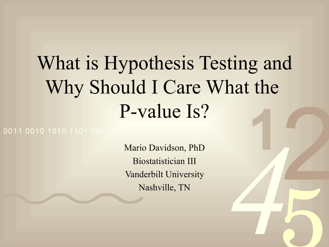# 2 **1** What is Hypothesis Testing and Why Should I Care What the P-value Is?

0011 0010 1010 1101 0001

Mario Davidson, PhD Biostatistician III Vanderbilt University Nashville, TN

*4*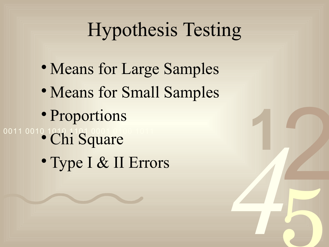## Hypothesis Testing

*4*

**1**

2

- Means for Large Samples
- Means for Small Samples
- Proportions
- 0011 0010 1011 Square
	- Type I & II Errors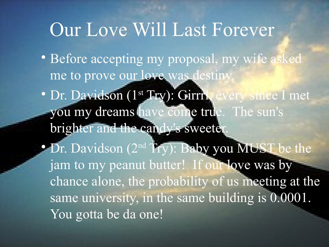#### Our Love Will Last Forever

- · Before accepting my proposal, my wife asked me to prove our love was destiny.
- e sun's<br>UST brighter and the candy's sweeter. • Dr. Davidson (1<sup>st</sup> Try): Girril, every since I met you my dreams have come true. The sun's
	- **4 MUST be**<br>**love was by**<br>us meeting a<br>lding is 0.00 Exercise<br>be the<br>by<br>g at the g at the<br>0001. • Dr. Davidson (2<sup>nd</sup> Try): Baby you MUST be the jam to my peanut butter! If our love was by chance alone, the probability of us meeting at the same university, in the same building is 0.0001. You gotta be da one!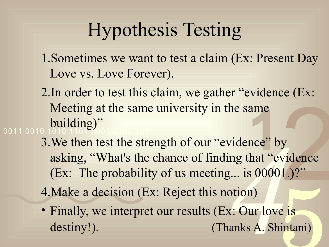### Hypothesis Testing

- 1.Sometimes we want to test a claim (Ex: Present Day Love vs. Love Forever).
- ame<br>nce" b<br>hat "e 0011 0010 2.In order to test this claim, we gather "evidence (Ex: Meeting at the same university in the same building)"
	- vidence" by<br>ing that "evid<br>*g*... is 00001.<br>otion)<br>x: Our love i<br>anks A. Shint y<br>y<br>vidence<br>1.)?' 3. We then test the strength of our "evidence" by asking, "What's the chance of finding that "evidence (Ex: The probability of us meeting... is 00001.)?"
	- 4.Make a decision (Ex: Reject this notion)
	- e is<br>intani) • Finally, we interpret our results (Ex: Our love is destiny!). (Thanks A. Shintani)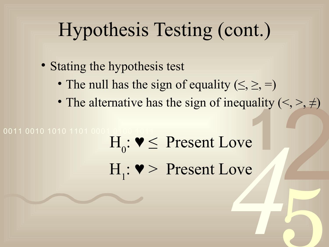## Hypothesis Testing (cont.)

- Stating the hypothesis test
	- The null has the sign of equality  $(\leq, \geq, =)$
	- 2 • The alternative has the sign of inequality  $(\le, >, \neq)$

5

# die 14<br>
ave 14<br>
ave 14<br>
ave 14<br>
ave 14<br>
ave 14<br>
ave 14<br>
ave 14<br>
ave 14<br>
ave 14<br>
ave 14<br>
ave 14<br>
ave 14<br>
ave 14<br>
ave 14<br>
die 14<br>
die 14<br>
die 14<br>
die 14<br>
die 14<br>
die 14<br>
die 14<br>
die 14<br>
die 14<br>
die 14<br>
die 14<br>
die 14<br>
die 14 **141119** 0011 0010 1010 1101 0001  $H_0: \mathbf{V} \leq$  Present Love  $H_1$ :  $\blacktriangledown$  Present Love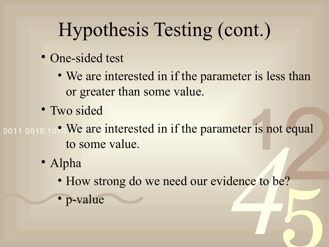# Hypothesis Testing (cont.)

- One-sided test
	- We are interested in if the parameter is less than or greater than some value.
- Two sided
- dence to be?  $\frac{2}{2}$ <br> $\frac{2}{2}$ <br> $\frac{2}{2}$  $\overrightarrow{1}$  is no 0011 0010 10 <sup>o</sup> We are interested in if the parameter is not equal to some value.
	- Alpha
		- 5 • How strong do we need our evidence to be?

• p-value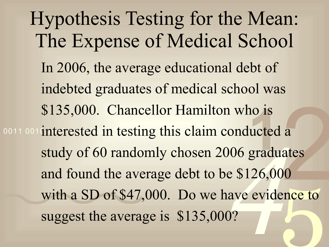onducted a<br> **106** graduat<br>
e \$126,000<br>
ave eviden<br>
1? a<br>ates<br>0<br>ence to ence to \$135,000. Chancellor Hamilton who is<br>interested in testing this claim conducted a<br>study of 60 randomly chosen 2006 graduates 0011 001 interested in testing this claim conducted a Hypothesis Testing for the Mean: The Expense of Medical School In 2006, the average educational debt of indebted graduates of medical school was \$135,000. Chancellor Hamilton who is and found the average debt to be \$126,000 with a SD of \$47,000. Do we have evidence to suggest the average is \$135,000?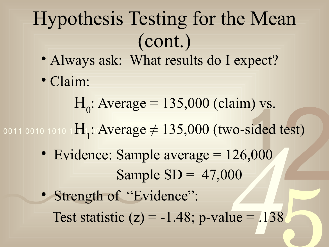# Hypothesis Testing for the Mean (cont.)

- Always ask: What results do I expect?
- Claim:

 $H_0$ : Average = 135,000 (claim) vs.

(est) 1<sub>1</sub> vs.<br>
sided<br>
,000 0011 0010 1010 1**11, AVerage** 7  $H_1$ : Average  $\neq 135,000$  (two-sided test)

- Evidence: Sample average = 126,000 Sample  $SD = 47,000$
- $426,000$ <br> $00$ <br> $ue = .138$ 5 • Strength of "Evidence": Test statistic  $(z) = -1.48$ ; p-value = .138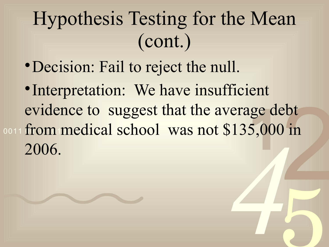# Hypothesis Testing for the Mean (cont.)

- Decision: Fail to reject the null.
- 44 2 lge d<sub>(</sub><br>5,000 0011 from medical school was not \$135,000 in • Interpretation: We have insufficient evidence to suggest that the average debt 2006.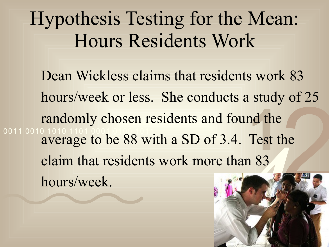## Hypothesis Testing for the Mean: Hours Residents Work

DI 23 **1**<br>Test t<br>22 0011 0010 1010 1101 0001 0100 1011 Dean Wickless claims that residents work 83 hours/week or less. She conducts a study of 25 randomly chosen residents and found the average to be 88 with a SD of 3.4. Test the claim that residents work more than 83 hours/week.

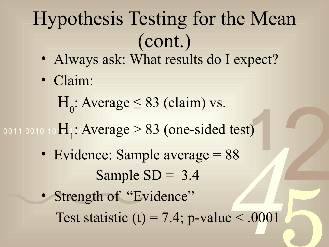# Hypothesis Testing for the Mean (cont.)

- Always ask: What results do I expect?
- Claim:

 $H_0$ : Average  $\leq 83$  (claim) vs.

- **1** 0011 0010 10 $\pi_1$ : Average  $\geq 8$ . H<sub>1</sub>: Average > 83 (one-sided test)
	- Evidence: Sample average = 88 Sample  $SD = 3.4$
- $\frac{1}{88}$ <br> $\frac{1}{2}$ <br> $\frac{1}{2}$ <br> $\frac{1}{2}$ <br> $\frac{1}{2}$ <br> $\frac{1}{2}$ <br> $\frac{1}{2}$ <br> $\frac{1}{2}$ <br> $\frac{1}{2}$ <br> $\frac{1}{2}$ <br> $\frac{1}{2}$ <br> $\frac{1}{2}$ <br> $\frac{1}{2}$ <br><br> $\frac{1}{2}$ <br><br><br><br><br><br><br><br><br><br><br><br><br><br><br> 2 5 • Strength of "Evidence" Test statistic (t) = 7.4; p-value  $\leq .0001$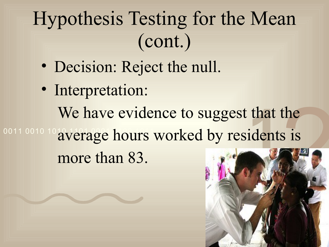# Hypothesis Testing for the Mean (cont.)

- Decision: Reject the null.
- that<br>ident 0011 0010 10 average hours worked by residents is • Interpretation: We have evidence to suggest that the more than 83.

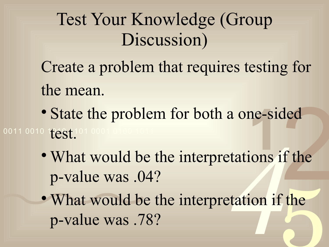#### Test Your Knowledge (Group Discussion)

Create a problem that requires testing for the mean.

- State the problem for both a one-sided<br>
<sup>1</sup><br>
 What would be the interpretations if the 0011 0010 10051.101 0001 0100 1011
- ded<br>f the • What would be the interpretations if the p-value was .04?
	- etations if Ethe • What would be the interpretation if the p-value was .78?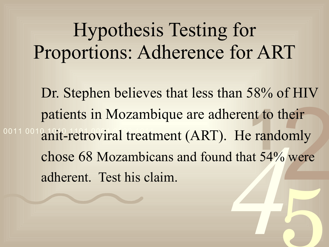Hypothesis Testing for Proportions: Adherence for ART

*4* heir<br>omly<br>0 were 5 nt to 1<br>e rand<br>at 54% 0011 0019 anit-retroviral treatment (ART). He randomly Dr. Stephen believes that less than 58% of HIV patients in Mozambique are adherent to their chose 68 Mozambicans and found that 54% were adherent. Test his claim.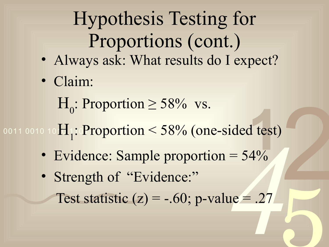# Hypothesis Testing for Proportions (cont.)

- Always ask: What results do I expect?
- Claim:
	- H<sub>0</sub>: Proportion  $\geq$  58% vs.

#### $\frac{1}{4\%}$ 0011 0010 1011: Proportion < H<sub>1</sub>: Proportion < 58% (one-sided test)

• Evidence: Sample proportion  $= 54\%$ 

2

5

rded test)<br>= 54%<br>ue = .27 • Strength of "Evidence:" Test statistic  $(z) = -.60$ ; p-value = .27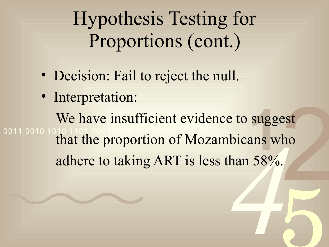Hypothesis Testing for Proportions (cont.)

- Decision: Fail to reject the null.
- Interpretation:

abicans who<br>
than 58%. 2 **1** 0011 0010 1 We have insufficient evidence to suggest that the proportion of Mozambicans who adhere to taking ART is less than 58%.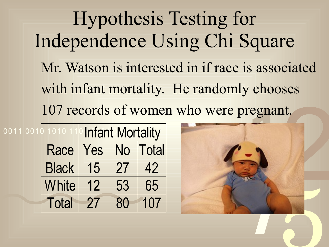Hypothesis Testing for Independence Using Chi Square Mr. Watson is interested in if race is associated with infant mortality. He randomly chooses

| 0011 0010 1010 11 |              | <b>Infant Mortality</b> |    |              |
|-------------------|--------------|-------------------------|----|--------------|
|                   | Race         | Yes                     | No | <b>Total</b> |
|                   | <b>Black</b> | 15                      | 27 | 42           |
|                   | White        | 12                      | 53 | 65           |
|                   | <b>Total</b> | 27                      | 80 | 107          |

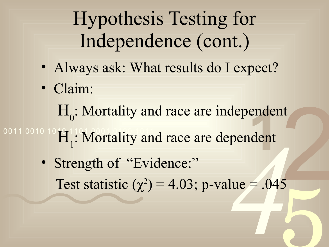# Hypothesis Testing for Independence (cont.)

- Always ask: What results do I expect?
- Claim:

H<sub>0</sub>: Mortality and race are independent

# ender<br>1<br>1  $10010$   $10$   $H_1$ ! Mortality and race are dependent

 $\frac{1}{4}$ <br> $\frac{1}{4}$ <br> $\frac{1}{4}$ <br> $\frac{1}{4}$ <br> $\frac{1}{4}$ <br> $\frac{1}{4}$ <br> $\frac{1}{4}$ <br> $\frac{1}{4}$ <br> $\frac{1}{4}$ <br> $\frac{1}{4}$ <br> $\frac{1}{4}$ <br> $\frac{1}{4}$ <br> $\frac{1}{4}$ <br> $\frac{1}{4}$ <br><br> $\frac{1}{4}$ <br><br><br><br><br><br><br><br><br><br><br><br><br><br><br><br><br><br><br><br><br><br><br> 2 5 • Strength of "Evidence:" Test statistic  $(\chi^2) = 4.03$ ; p-value = .045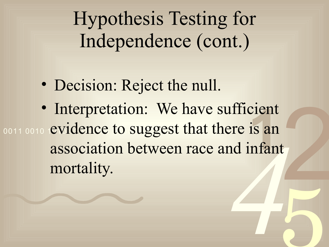Hypothesis Testing for Independence (cont.)

- Decision: Reject the null.
- Ale 15 am<br>
nd infant 2 cient<br>is an<br>infan 0011 0010 **evidence to suggest that there is an** • Interpretation: We have sufficient association between race and infant mortality.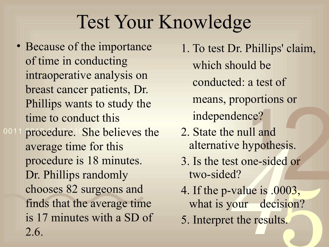## Test Your Knowledge

0011 procedure. She believes the • Because of the importance of time in conducting intraoperative analysis on breast cancer patients, Dr. Phillips wants to study the time to conduct this average time for this procedure is 18 minutes. Dr. Phillips randomly chooses 82 surgeons and finds that the average time is 17 minutes with a SD of 2.6.

s or<br>sis.<br>d or<br>003, 1. To test Dr. Phillips' claim, which should be conducted: a test of means, proportions or independence?

- ce?<br>11 and<br>ypothe 2. State the null and alternative hypothesis.
- 3. Is the test one-sided or two-sided?
- *e* null and<br>ve hypothesis<br>est one-sided<br>ed?<br>vour decisic<br>et the results. 003,<br>sion?<br>.s. 4. If the p-value is .0003, what is your decision?
- 5. Interpret the results.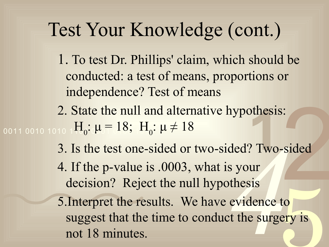#### Test Your Knowledge (cont.)

- 1. To test Dr. Phillips' claim, which should be conducted: a test of means, proportions or independence? Test of means
- 2. State the null and alternative hypothesis:<br>  $10 \text{ H}_0: \mu = 18$ ;  $H_0: \mu \neq 18$ <br>
3. Is the test one-sided or two-sided? Two-s 0011 0010 1010 1 $H_0$ :  $\mu = 18; \, H_0$ :  $\mu \neq 18$
- 2 3. Is the test one-sided or two-sided? Two-sided
	- 4. If the p-value is .0003, what is your decision? Reject the null hypothesis
	- ded? Two-si<br>
	s your<br>
	othesis<br>
	evidence to<br>
	ct the surger to<br>ery is 5.Interpret the results. We have evidence to suggest that the time to conduct the surgery is not 18 minutes.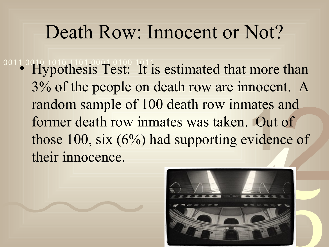#### Death Row: Innocent or Not?

and<br>of<br>ce of rates<br>Out<br>viden <sup>0011</sup> Hypothesis Test: It is estimated that more than 3% of the people on death row are innocent. A random sample of 100 death row inmates and former death row inmates was taken. Out of those 100, six (6%) had supporting evidence of their innocence.

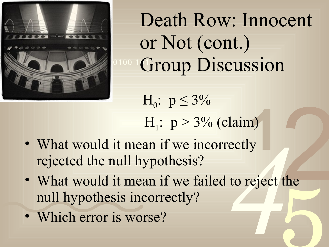

Death Row: Innocent or Not (cont.) Group Discussion

**1**<br>y<br>y  $H_0: p \leq 3\%$  $H_1$ :  $p > 3\%$  (claim)

- What would it mean if we incorrectly rejected the null hypothesis?
- ectly<br>to reject the 2 5 • What would it mean if we failed to reject the null hypothesis incorrectly?
- Which error is worse?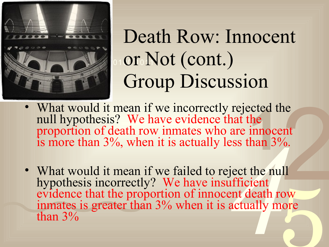

# Not Toll or Not (cont.) Death Row: Innocent Group Discussion

- ected t<br>the<br>innoce<br>han 3<sup>0</sup> • What would it mean if we incorrectly rejected the null hypothesis? We have evidence that the proportion of death row inmates who are innocent is more than 3%, when it is actually less than 3%.
- are innocent<br>
ess than 3%.<br>
<br>
iject the null<br>
ufficient<br>
ent death roy<br>
actually mor ne<br>
nt (0.00)<br>
11<br>
0W Formation • What would it mean if we failed to reject the null hypothesis incorrectly? We have insufficient evidence that the proportion of innocent death row inmates is greater than 3% when it is actually more than 3%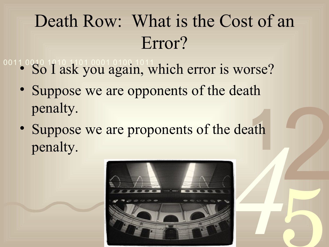### Death Row: What is the Cost of an Error?

- 00110010 1010 1010010100.1011<br>• So I ask you again, which error is worse?
	- Suppose we are opponents of the death penalty.
	- *4* ath • Suppose we are proponents of the death penalty.



2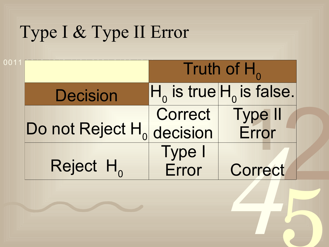#### Type I & Type II Error

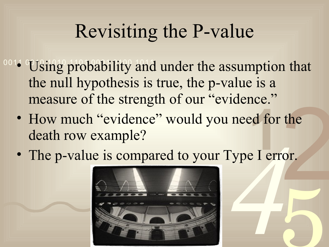### Revisiting the P-value

- <sup>0014</sup> Using probability and under the assumption that the null hypothesis is true, the p-value is a measure of the strength of our "evidence."
	- the order ed for<br>e I eri • How much "evidence" would you need for the death row example?
	- Fype I error • The p-value is compared to your Type I error.

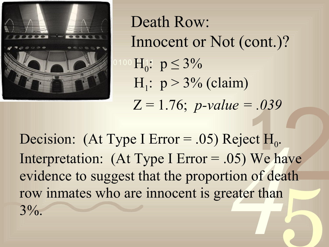

 Death Row: Innocent or Not (cont.)?  $H_1: p > 3\%$  (claim) Z = 1.76; *p-value = .039*

**eject** H<sub>0</sub>.<br>
05) We hav<br>
tion of deat<br>
eater than ave ath 5  $1035$ <br>  $1035$ <br>  $1035$ <br>  $1035$ Decision: (At Type I Error = .05) Reject  $H_0$ . Interpretation: (At Type I Error = .05) We have evidence to suggest that the proportion of death row inmates who are innocent is greater than  $3\%$ .